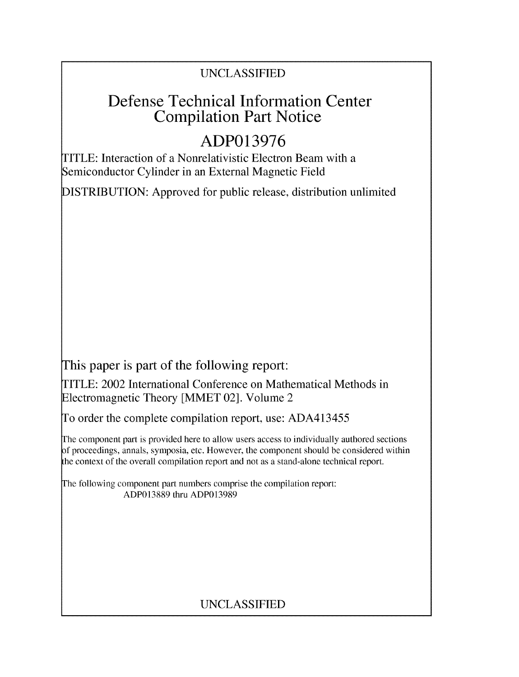## UNCLASSIFIED

## Defense Technical Information Center Compilation Part Notice

# **ADP013976**

TITLE: Interaction of a Nonrelativistic Electron Beam with a Semiconductor Cylinder in an External Magnetic Field

DISTRIBUTION: Approved for public release, distribution unlimited

This paper is part of the following report:

TITLE: 2002 International Conference on Mathematical Methods in Electromagnetic Theory [MMET 02]. Volume 2

To order the complete compilation report, use: ADA413455

The component part is provided here to allow users access to individually authored sections f proceedings, annals, symposia, etc. However, the component should be considered within the context of the overall compilation report and not as a stand-alone technical report.

The following component part numbers comprise the compilation report: ADP013889 thru ADP013989

## UNCLASSIFIED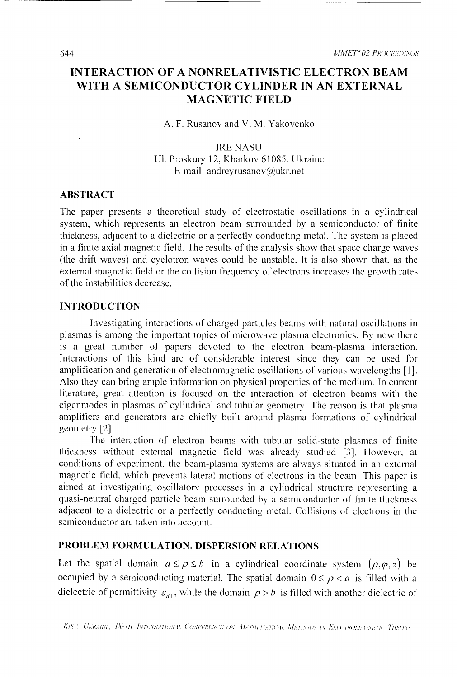### **INTERACTION** OF **A NONRELATIVISTIC ELECTRON** BEAM WITH **A SEMICONDUCTOR** CYLINDER **IN** AN EXTERNAL **MAGNETIC FIELD**

A. F. Rusanov and V. M. Yakovenko

#### IRE NASU UI. Proskury 12, Kharkov 61085, Ukraine E-mail: andreyrusanov $\omega$ ukr.net

#### ABSTRACT

The paper presents a theoretical study of electrostatic oscillations in a cylindrical system, which represents an electron beam surrounded by a semiconductor of finite thickness, adjacent to a dielectric or a perfectly conducting metal. The system is placed in a finite axial magnetic field. The results of the analysis show that space charge waves (the drift waves) and cyclotron waves could be unstable. It is also shown that, as the external magnetic field or the collision frequency of electrons increases the growth rates of the instabilities decrease.

#### INTRODUCTION

Investigating interactions of charged particles beams with natural oscillations in plasmas is among the important topics of microwave plasma electronics. By now there is a great number of papers devoted to the electron beam-plasma interaction. Interactions of this kind are of considerable interest since they can be used for amplification and generation of electromagnetic oscillations of various wavelengths [I]. Also they can bring ample information on physical properties of the medium. In current literature, great attention is focused on the interaction of electron beams with the eigenmodes in plasmas of cylindrical and tubular geometry. The reason is that plasma amplifiers and generators are chiefly built around plasma formations of cylindrical geometry [2].

The interaction of electron beams with tubular solid-state plasmas of finite thickness without external magnetic field was already studied [3]. However, at conditions of experiment, the beam-plasma systems are always situated in an external magnetic field, which prevents lateral motions of electrons in the beam. This paper is aimed at investigating oscillatory processes in a cylindrical structure representing a quasi-neutral charged particle beam surrounded by a semiconductor of finite thickness adjacent to a dielectric or a perfectly conducting metal. Collisions of electrons in the semiconductor are taken into account.

#### PROBLEM FORMULATION. **DISPERSION RELATIONS**

Let the spatial domain  $a \le \rho \le b$  in a cylindrical coordinate system  $(\rho, \varphi, z)$  be occupied by a semiconducting material. The spatial domain  $0 \leq \rho < a$  is filled with a dielectric of permittivity  $\varepsilon_{d}$ , while the domain  $\rho > b$  is filled with another dielectric of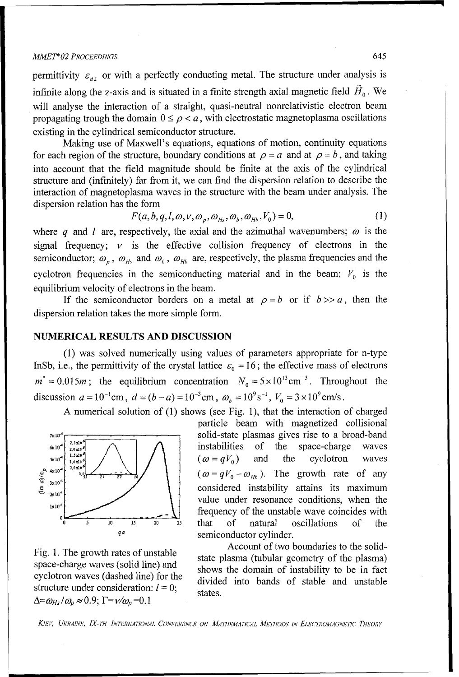#### *MMET\*02 PROCEEDINGS* 645

permittivity  $\varepsilon_{d2}$  or with a perfectly conducting metal. The structure under analysis is infinite along the z-axis and is situated in a finite strength axial magnetic field  $\vec{H}_0$ . We will analyse the interaction of a straight, quasi-neutral nonrelativistic electron beam propagating trough the domain  $0 \leq \rho < a$ , with electrostatic magnetoplasma oscillations existing in the cylindrical semiconductor structure.

Making use of Maxwell's equations, equations of motion, continuity equations for each region of the structure, boundary conditions at  $\rho = a$  and at  $\rho = b$ , and taking into account that the field magnitude should be finite at the axis of the cylindrical structure and (infinitely) far from it, we can find the dispersion relation to describe the interaction of magnetoplasma waves in the structure with the beam under analysis. The dispersion relation has the form

$$
F(a,b,q,l,\omega,\nu,\omega_p,\omega_{Hs},\omega_b,\omega_{Hb},V_0) = 0,
$$
\n(1)

where q and l are, respectively, the axial and the azimuthal wavenumbers;  $\omega$  is the signal frequency;  $\nu$  is the effective collision frequency of electrons in the semiconductor;  $\omega_p$ ,  $\omega_{Hs}$  and  $\omega_b$ ,  $\omega_{Hb}$  are, respectively, the plasma frequencies and the cyclotron frequencies in the semiconducting material and in the beam;  $V_0$  is the equilibrium velocity of electrons in the beam.

If the semiconductor borders on a metal at  $\rho = b$  or if  $b \gg a$ , then the dispersion relation takes the more simple form.

#### **NUMERICAL RESULTS AND DISCUSSION**

**(1)** was solved numerically using values of parameters appropriate for n-type InSb, i.e., the permittivity of the crystal lattice  $\varepsilon_0 = 16$ ; the effective mass of electrons  $m^* = 0.015m$ ; the equilibrium concentration  $N_0 = 5 \times 10^{13} \text{ cm}^{-3}$ . Throughout the discussion  $a = 10^{-1}$  cm,  $d = (b - a) = 10^{-3}$  cm,  $\omega_b = 10^9$  s<sup>-1</sup>,  $V_0 = 3 \times 10^9$  cm/s.

A numerical solution of (1) shows (see Fig. 1), that the interaction of charged



 $\Delta = \omega_{Hs} / \omega_p \approx 0.9; \Gamma = v / \omega_p = 0.1$ 

particle beam with magnetized collisional  $x_{10}$ <sup>4</sup>  $\omega$ <sup>2.3,20</sub>  $\omega$  **c**  $\omega$  **c**  $\omega$  **c**  $\omega$  **c**  $\omega$  **c**  $\omega$  **c**  $\omega$  **c**  $\omega$  **c**  $\omega$  **c**  $\omega$  **c**  $\omega$  **c**  $\omega$  **c**  $\omega$  **c**  $\omega$  **c**  $\omega$  **c**  $\omega$  **c**  $\omega$  **c**  $\omega$  **c**  $\omega$  **c**  $\omega$  **c**  $\omega$  **c**  $\omega$  **c**  $\omega$  **c**  $$  $\begin{array}{c|c}\n\text{1.520}^{\circ} & \nearrow \\
\downarrow & \downarrow\n\end{array}$   $\begin{array}{c|c}\n\end{array}$   $\begin{array}{c|c}\n\text{1.520}^{\circ} & \downarrow\n\end{array}$   $\begin{array}{c|c}\n\end{array}$   $\begin{array}{c|c}\n\text{1.520}^{\circ} & \downarrow\n\end{array}$   $\begin{array}{c|c}\n\end{array}$   $\begin{array}{c|c}\n\text{1.520}^{\circ} & \downarrow\n\end{array}$   $\begin{array}{c}\n\text{1.5$  $\left\{\begin{array}{c} \sqrt[3]{\frac{2}{3}}\sqrt[3]{\frac{2}{3}}\sqrt[3]{\frac{2}{3}}\sqrt[3]{\frac{2}{3}}\sqrt[3]{\frac{2}{3}}\sqrt[3]{\frac{2}{3}}\sqrt[3]{\frac{2}{3}}\sqrt[3]{\frac{2}{3}}\sqrt[3]{\frac{2}{3}}\sqrt[3]{\frac{2}{3}}\sqrt[3]{\frac{2}{3}}\sqrt[3]{\frac{2}{3}}\sqrt[3]{\frac{2}{3}}\sqrt[3]{\frac{2}{3}}\sqrt[3]{\frac{2}{3}}\sqrt[3]{\frac{2}{3}}\sqrt[3]{\frac{2}{3}}\sqrt[3]{\$  $\sum_{\alpha=10^{4}}^{\infty}$  10<sup>4</sup> considered instability attains its maximum value under resonance conditions, when the  $\begin{array}{c|c}\n\hline\n\end{array}$ **1X10<sup>4</sup>**  $\begin{array}{c}\n\hline\n\end{array}$  frequency of the unstable wave coincides with **0o20 25** that of natural oscillations of the *9a* semiconductor cylinder.

Fig. 1. The growth rates of unstable<br>state plasma (tubular geometry of the plasma)<br>state plasma (tubular geometry of the plasma) space-charge waves (solid line) and shows the domain of instability to be in fact cyclotron waves (dashed line) for the divided into bands of stable and unstable eyenotion waves (dashed line) for the divided into bands of stable and unstable structure under consideration:  $l = 0$ ; states.

KIEV, UKRAINE, IX-TH INTERNATIONAL CONFERENCE ON MATHEMATICAL METHODS IN ELECTROMAGNETIC THEORY